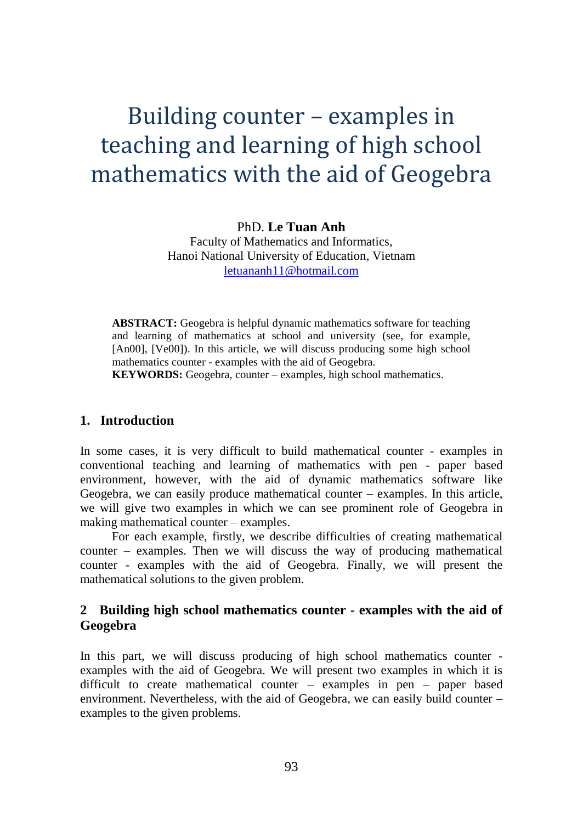# Building counter – examples in teaching and learning of high school mathematics with the aid of Geogebra

PhD. **Le Tuan Anh** Faculty of Mathematics and Informatics, Hanoi National University of Education, Vietnam [letuananh11@hotmail.com](mailto:letuananh11@hotmail.com)

**ABSTRACT:** Geogebra is helpful dynamic mathematics software for teaching and learning of mathematics at school and university (see, for example, [An00], [Ve00]). In this article, we will discuss producing some high school mathematics counter - examples with the aid of Geogebra.

**KEYWORDS:** Geogebra, counter – examples, high school mathematics.

### **1. Introduction**

In some cases, it is very difficult to build mathematical counter - examples in conventional teaching and learning of mathematics with pen - paper based environment, however, with the aid of dynamic mathematics software like Geogebra, we can easily produce mathematical counter – examples. In this article, we will give two examples in which we can see prominent role of Geogebra in making mathematical counter – examples.

For each example, firstly, we describe difficulties of creating mathematical counter – examples. Then we will discuss the way of producing mathematical counter - examples with the aid of Geogebra. Finally, we will present the mathematical solutions to the given problem.

## **2 Building high school mathematics counter - examples with the aid of Geogebra**

In this part, we will discuss producing of high school mathematics counter examples with the aid of Geogebra. We will present two examples in which it is difficult to create mathematical counter – examples in pen – paper based environment. Nevertheless, with the aid of Geogebra, we can easily build counter – examples to the given problems.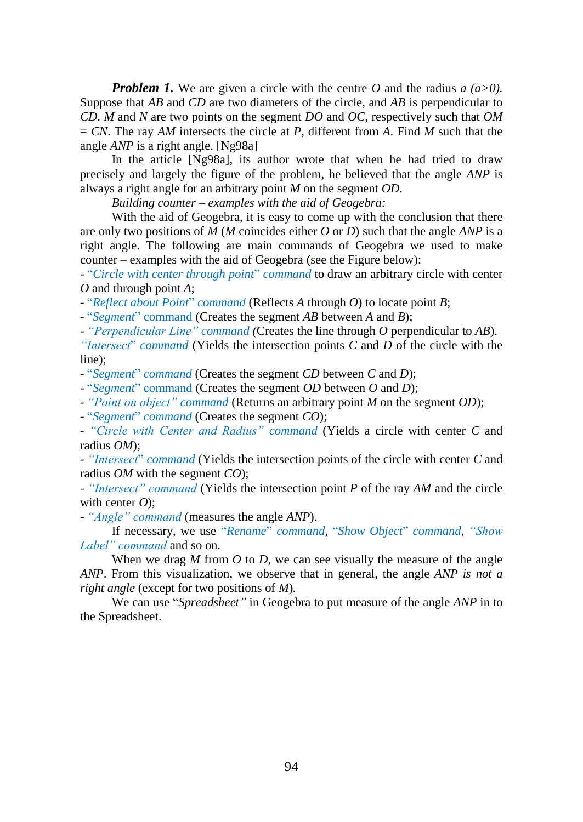*Problem 1.* We are given a circle with the centre *O* and the radius *a (a>0).*  Suppose that *AB* and *CD* are two diameters of the circle, and *AB* is perpendicular to *CD*. *M* and *N* are two points on the segment *DO* and *OC*, respectively such that *OM* = *CN*. The ray *AM* intersects the circle at *P,* different from *A*. Find *M* such that the angle *ANP* is a right angle. [Ng98a]

In the article [Ng98a], its author wrote that when he had tried to draw precisely and largely the figure of the problem, he believed that the angle *ANP* is always a right angle for an arbitrary point *M* on the segment *OD*.

*Building counter – examples with the aid of Geogebra:*

With the aid of Geogebra, it is easy to come up with the conclusion that there are only two positions of *M* (*M* coincides either *O* or *D*) such that the angle *ANP* is a right angle. The following are main commands of Geogebra we used to make counter – examples with the aid of Geogebra (see the Figure below):

- "*Circle with center through point*" *command* to draw an arbitrary circle with center *O* and through point *A*;

- "*Reflect about Point*" *command* (Reflects *A* through *O*) to locate point *B*;

- "*Segment*" command (Creates the segment *AB* between *A* and *B*);

- *"Perpendicular Line" command (*Creates the line through *O* perpendicular to *AB*).

*"Intersect*" *command* (Yields the intersection points *C* and *D* of the circle with the line);

- "*Segment*" *command* (Creates the segment *CD* between *C* and *D*);

- "*Segment*" command (Creates the segment *OD* between *O* and *D*);

- *"Point on object" command* (Returns an arbitrary point *M* on the segment *OD*);

- "*Segment*" *command* (Creates the segment *CO*);

- *"Circle with Center and Radius" command* (Yields a circle with center *C* and radius *OM*);

- *"Intersect*" *command* (Yields the intersection points of the circle with center *C* and radius *OM* with the segment *CO*);

- *"Intersect" command* (Yields the intersection point *P* of the ray *AM* and the circle with center *O*);

- *"Angle" command* (measures the angle *ANP*).

If necessary, we use "*Rename*" *command*, "*Show Object*" *command*, *"Show Label" command* and so on.

When we drag *M* from *O* to *D*, we can see visually the measure of the angle *ANP*. From this visualization, we observe that in general, the angle *ANP is not a right angle* (except for two positions of *M*)*.*

We can use "*Spreadsheet"* in Geogebra to put measure of the angle *ANP* in to the Spreadsheet.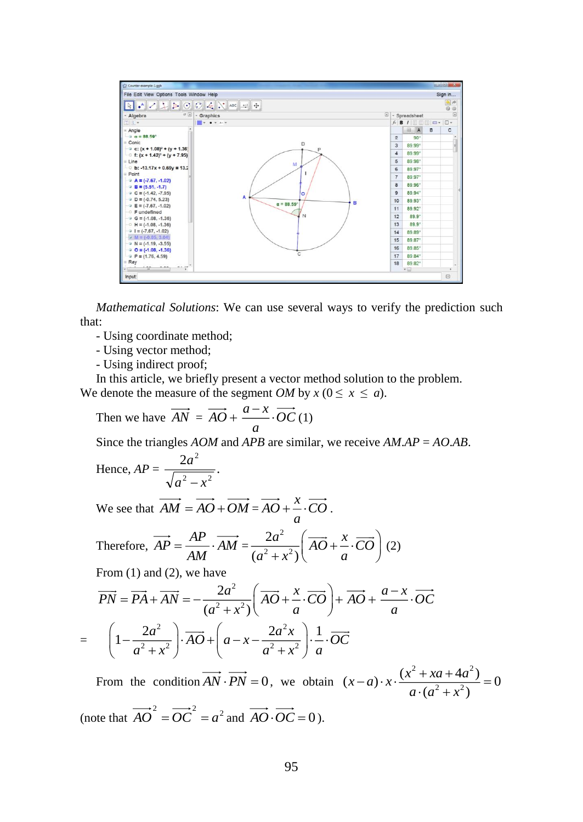

*Mathematical Solutions*: We can use several ways to verify the prediction such that:

- Using coordinate method;
- Using vector method;
- Using indirect proof;

In this article, we briefly present a vector method solution to the problem. We denote the measure of the segment *OM* by  $x (0 \le x \le a)$ .

Then we have 
$$
\overrightarrow{AN} = \overrightarrow{AO} + \frac{a-x}{a} \cdot \overrightarrow{OC}(1)
$$

Since the triangles *AOM* and *APB* are similar, we receive *AM*.*AP* = *AO*.*AB*.

Hence, 
$$
AP = \frac{2a^2}{\sqrt{a^2 - x^2}}
$$
.

We see that  $AM = AO + OM = AO + \frac{\pi}{a} \cdot CO$  $\overrightarrow{AO} + \overrightarrow{2} \cdot \overrightarrow{CO}$ .

Therefore, 
$$
\overrightarrow{AP} = \frac{\overrightarrow{AP}}{\overrightarrow{AM}} \cdot \overrightarrow{AM} = \frac{2a^2}{(a^2 + x^2)} \left( \overrightarrow{AO} + \frac{x}{a} \cdot \overrightarrow{CO} \right)
$$
 (2)

From (1) and (2), we have

$$
\overrightarrow{PN} = \overrightarrow{PA} + \overrightarrow{AN} = -\frac{2a^2}{(a^2 + x^2)} \left( \overrightarrow{AO} + \frac{x}{a} \cdot \overrightarrow{CO} \right) + \overrightarrow{AO} + \frac{a - x}{a} \cdot \overrightarrow{OC}
$$

$$
= \left( 1 - \frac{2a^2}{a^2 + x^2} \right) \cdot \overrightarrow{AO} + \left( a - x - \frac{2a^2x}{a^2 + x^2} \right) \cdot \frac{1}{a} \cdot \overrightarrow{OC}
$$

From the condition  $AN \cdot PN = 0$ , we obtain 2. 12  $(x-a)\cdot x \cdot \frac{(x^2+xa+4a^2)}{(x-a)(x-a^2)} = 0$  $(a^{2}+x^{2})$  $(x-a)\cdot x\cdot \frac{(x^2+xa+4a)}{b}$ *a a x*  $-a) \cdot x \cdot \frac{(x^2 + xa + 4a^2)}{a \cdot (a^2 + x^2)} =$ (note that  $\overrightarrow{AO}^2 = \overrightarrow{OC}^2 = a^2$  and  $\overrightarrow{AO} \cdot \overrightarrow{OC} = 0$ ).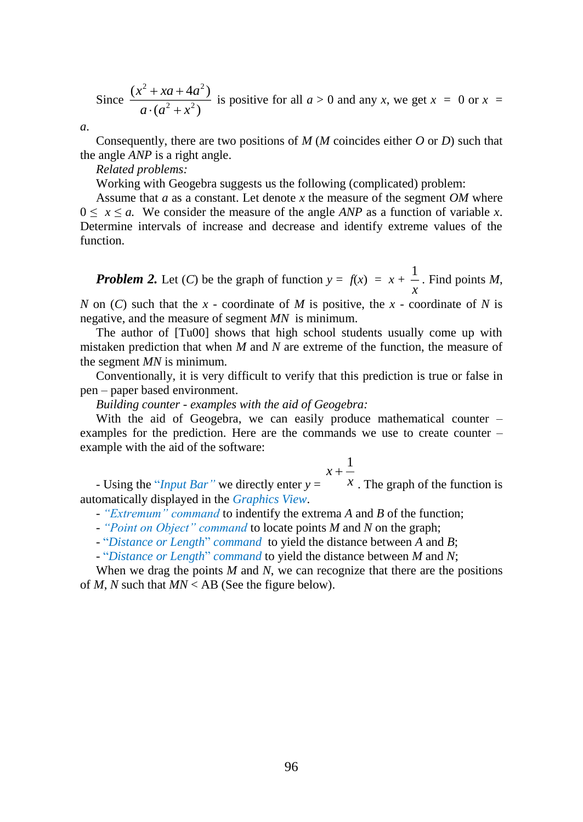Since 2. 12 2 2  $(x^2 + xa + 4a^2)$  $(a^{2}+x^{2})$  $x + xa + 4a$ *a a x*  $+ xa +$  $\frac{1}{x}$   $\frac{1}{x^2 + x^2}$  is positive for all  $a > 0$  and any *x*, we get  $x = 0$  or  $x = 0$ 

*a*.

Consequently, there are two positions of *M* (*M* coincides either *O* or *D*) such that the angle *ANP* is a right angle.

*Related problems:*

Working with Geogebra suggests us the following (complicated) problem:

Assume that *a* as a constant. Let denote *x* the measure of the segment *OM* where  $0 \le x \le a$ . We consider the measure of the angle *ANP* as a function of variable *x*. Determine intervals of increase and decrease and identify extreme values of the function.

*Problem 2.* Let (*C*) be the graph of function  $y = f(x) = x + \frac{1}{x}$ 1 . Find points *M*,

*N* on (*C*) such that the *x* - coordinate of *M* is positive, the *x* - coordinate of *N* is negative, and the measure of segment *MN* is minimum.

The author of [Tu00] shows that high school students usually come up with mistaken prediction that when *M* and *N* are extreme of the function, the measure of the segment *MN* is minimum.

Conventionally, it is very difficult to verify that this prediction is true or false in pen – paper based environment.

*Building counter - examples with the aid of Geogebra:*

With the aid of Geogebra, we can easily produce mathematical counter – examples for the prediction. Here are the commands we use to create counter – example with the aid of the software:

$$
x + \frac{1}{x}
$$

- Using the "*[Input Bar"](http://wiki.geogebra.org/en/Input_Bar)* we directly enter *y* = *<sup>x</sup>*  $x$ . The graph of the function is automatically displayed in the *[Graphics View](http://wiki.geogebra.org/en/Graphics_View)*.

- *"Extremum" command* to indentify the extrema *A* and *B* of the function;

- *"Point on Object" command* to locate points *M* and *N* on the graph;

- "*Distance or Length*" *command* to yield the distance between *A* and *B*;

- "*Distance or Length*" *command* to yield the distance between *M* and *N*;

When we drag the points *M* and *N*, we can recognize that there are the positions of *M*, *N* such that *MN* < AB (See the figure below).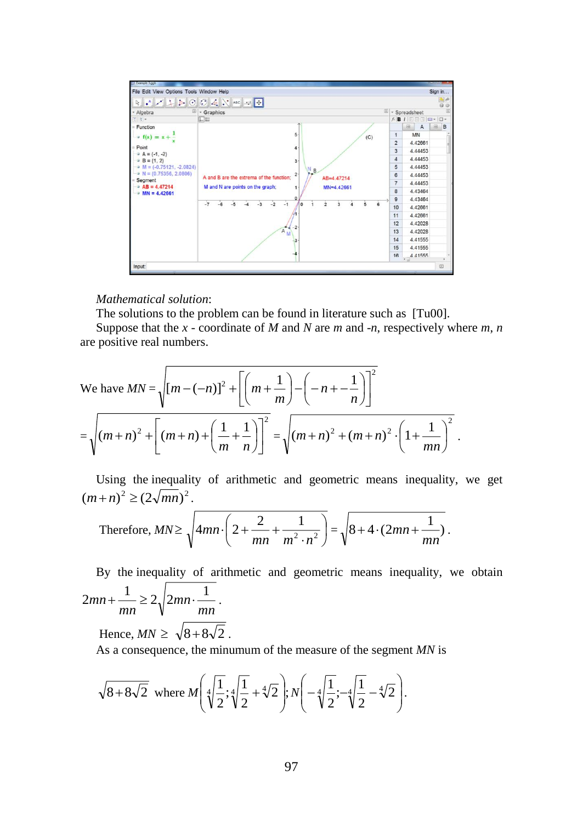

#### *Mathematical solution*:

The solutions to the problem can be found in literature such as [Tu00].

Suppose that the *x* - coordinate of *M* and *N* are *m* and -*n*, respectively where *m*, *n* are positive real numbers.

We have 
$$
MN = \sqrt{[m - (-n)]^2 + \left[ \left( m + \frac{1}{m} \right) - \left( -n + \frac{1}{n} \right) \right]^2}
$$

$$
= \sqrt{(m+n)^2 + \left[ (m+n) + \left( \frac{1}{m} + \frac{1}{n} \right) \right]^2} = \sqrt{(m+n)^2 + (m+n)^2 \cdot \left( 1 + \frac{1}{mn} \right)^2}.
$$

Using the inequality of arithmetic and geometric means inequality, we get  $(m+n)^2 \ge (2\sqrt{mn})^2$ .

Therefore, 
$$
MN \ge \sqrt{4mn \cdot \left(2 + \frac{2}{mn} + \frac{1}{m^2 \cdot n^2}\right)} = \sqrt{8 + 4 \cdot (2mn + \frac{1}{mn})}
$$
.

By the inequality of arithmetic and geometric means inequality, we obtain *mn mn mn*  $2mn + \frac{1}{2} \ge 2 \sqrt{2mn \cdot \frac{1}{2}}$ .

Hence,  $MN \geq \sqrt{8} + 8\sqrt{2}$ .

As a consequence, the minumum of the measure of the segment *MN* is

$$
\sqrt{8+8\sqrt{2}}
$$
 where  $M\left(\sqrt[4]{\frac{1}{2}};\sqrt[4]{\frac{1}{2}}+ \sqrt[4]{2}\right); N\left(-\sqrt[4]{\frac{1}{2}};\sqrt[4]{\frac{1}{2}}- \sqrt[4]{2}\right).$